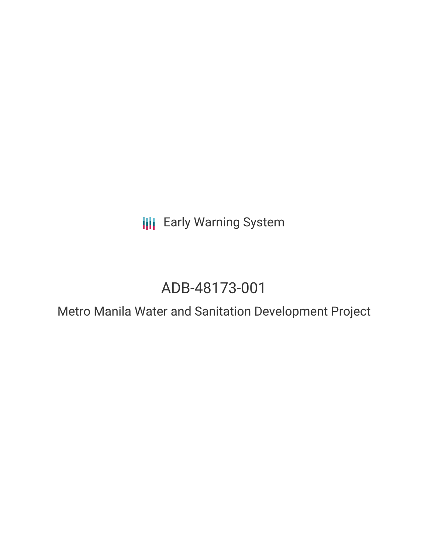**III** Early Warning System

# ADB-48173-001

Metro Manila Water and Sanitation Development Project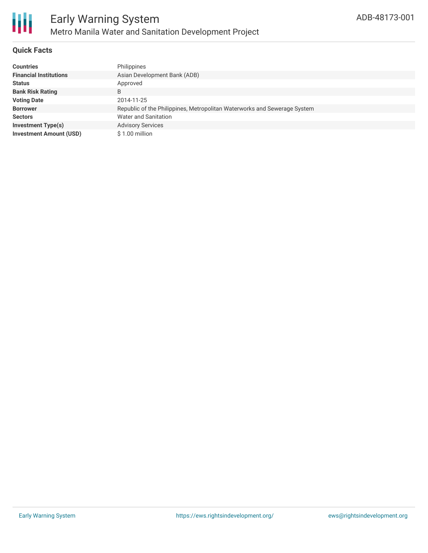

### **Quick Facts**

| <b>Countries</b>               | Philippines                                                              |
|--------------------------------|--------------------------------------------------------------------------|
| <b>Financial Institutions</b>  | Asian Development Bank (ADB)                                             |
| Status                         | Approved                                                                 |
| <b>Bank Risk Rating</b>        | B                                                                        |
| <b>Voting Date</b>             | 2014-11-25                                                               |
| <b>Borrower</b>                | Republic of the Philippines, Metropolitan Waterworks and Sewerage System |
| Sectors                        | Water and Sanitation                                                     |
| Investment Type(s)             | <b>Advisory Services</b>                                                 |
| <b>Investment Amount (USD)</b> | \$1.00 million                                                           |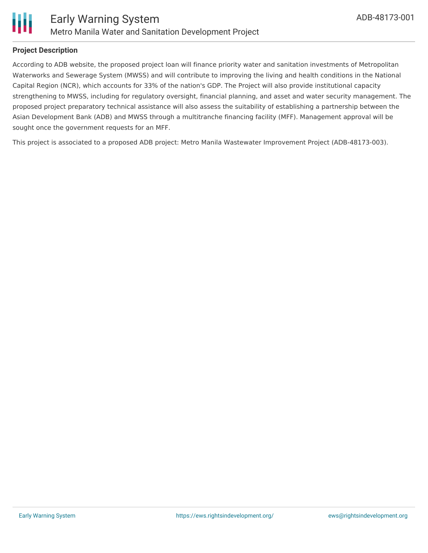

### **Project Description**

According to ADB website, the proposed project loan will finance priority water and sanitation investments of Metropolitan Waterworks and Sewerage System (MWSS) and will contribute to improving the living and health conditions in the National Capital Region (NCR), which accounts for 33% of the nation's GDP. The Project will also provide institutional capacity strengthening to MWSS, including for regulatory oversight, financial planning, and asset and water security management. The proposed project preparatory technical assistance will also assess the suitability of establishing a partnership between the Asian Development Bank (ADB) and MWSS through a multitranche financing facility (MFF). Management approval will be sought once the government requests for an MFF.

This project is associated to a proposed ADB project: Metro Manila Wastewater Improvement Project (ADB-48173-003).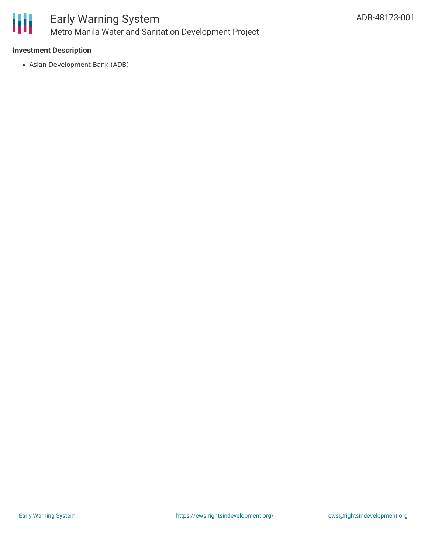

### **Investment Description**

Asian Development Bank (ADB)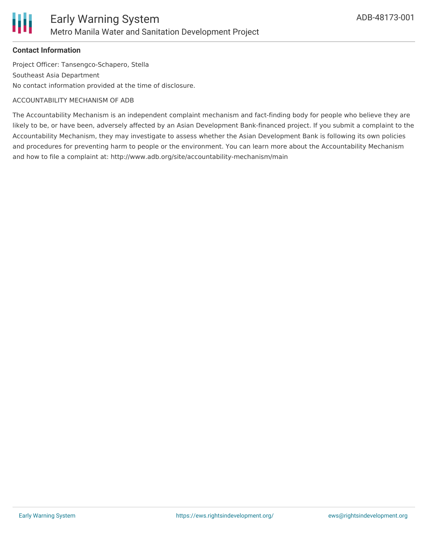

## **Contact Information**

Project Officer: Tansengco-Schapero, Stella Southeast Asia Department No contact information provided at the time of disclosure.

#### ACCOUNTABILITY MECHANISM OF ADB

The Accountability Mechanism is an independent complaint mechanism and fact-finding body for people who believe they are likely to be, or have been, adversely affected by an Asian Development Bank-financed project. If you submit a complaint to the Accountability Mechanism, they may investigate to assess whether the Asian Development Bank is following its own policies and procedures for preventing harm to people or the environment. You can learn more about the Accountability Mechanism and how to file a complaint at: http://www.adb.org/site/accountability-mechanism/main